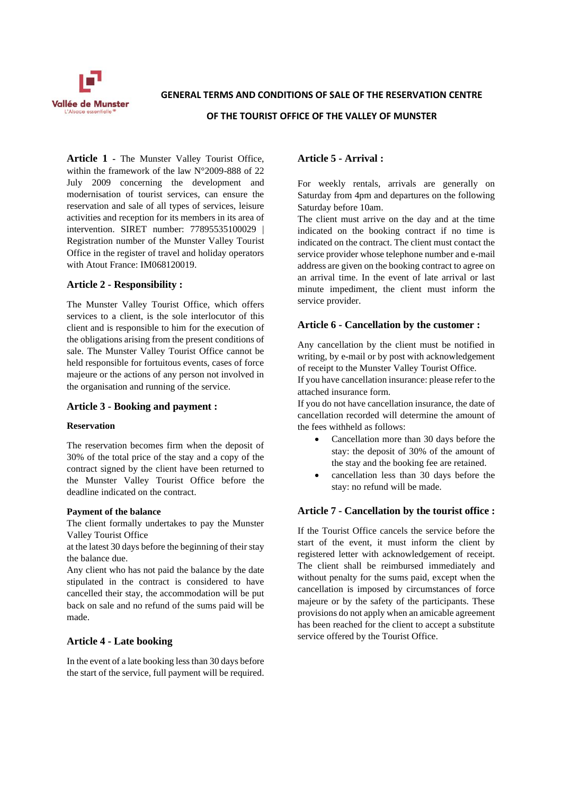

**GENERAL TERMS AND CONDITIONS OF SALE OF THE RESERVATION CENTRE** 

**OF THE TOURIST OFFICE OF THE VALLEY OF MUNSTER**

**Article 1 -** The Munster Valley Tourist Office, within the framework of the law N°2009-888 of 22 July 2009 concerning the development and modernisation of tourist services, can ensure the reservation and sale of all types of services, leisure activities and reception for its members in its area of intervention. SIRET number: 77895535100029 | Registration number of the Munster Valley Tourist Office in the register of travel and holiday operators with Atout France: IM068120019.

## **Article 2 - Responsibility :**

The Munster Valley Tourist Office, which offers services to a client, is the sole interlocutor of this client and is responsible to him for the execution of the obligations arising from the present conditions of sale. The Munster Valley Tourist Office cannot be held responsible for fortuitous events, cases of force majeure or the actions of any person not involved in the organisation and running of the service.

## **Article 3 - Booking and payment :**

### **Reservation**

The reservation becomes firm when the deposit of 30% of the total price of the stay and a copy of the contract signed by the client have been returned to the Munster Valley Tourist Office before the deadline indicated on the contract.

### **Payment of the balance**

The client formally undertakes to pay the Munster Valley Tourist Office

at the latest 30 days before the beginning of their stay the balance due.

Any client who has not paid the balance by the date stipulated in the contract is considered to have cancelled their stay, the accommodation will be put back on sale and no refund of the sums paid will be made.

## **Article 4 - Late booking**

In the event of a late booking less than 30 days before the start of the service, full payment will be required.

## **Article 5 - Arrival :**

For weekly rentals, arrivals are generally on Saturday from 4pm and departures on the following Saturday before 10am.

The client must arrive on the day and at the time indicated on the booking contract if no time is indicated on the contract. The client must contact the service provider whose telephone number and e-mail address are given on the booking contract to agree on an arrival time. In the event of late arrival or last minute impediment, the client must inform the service provider.

## **Article 6 - Cancellation by the customer :**

Any cancellation by the client must be notified in writing, by e-mail or by post with acknowledgement of receipt to the Munster Valley Tourist Office.

If you have cancellation insurance: please refer to the attached insurance form.

If you do not have cancellation insurance, the date of cancellation recorded will determine the amount of the fees withheld as follows:

- Cancellation more than 30 days before the stay: the deposit of 30% of the amount of the stay and the booking fee are retained.
- cancellation less than 30 days before the stay: no refund will be made.

## **Article 7 - Cancellation by the tourist office :**

If the Tourist Office cancels the service before the start of the event, it must inform the client by registered letter with acknowledgement of receipt. The client shall be reimbursed immediately and without penalty for the sums paid, except when the cancellation is imposed by circumstances of force majeure or by the safety of the participants. These provisions do not apply when an amicable agreement has been reached for the client to accept a substitute service offered by the Tourist Office.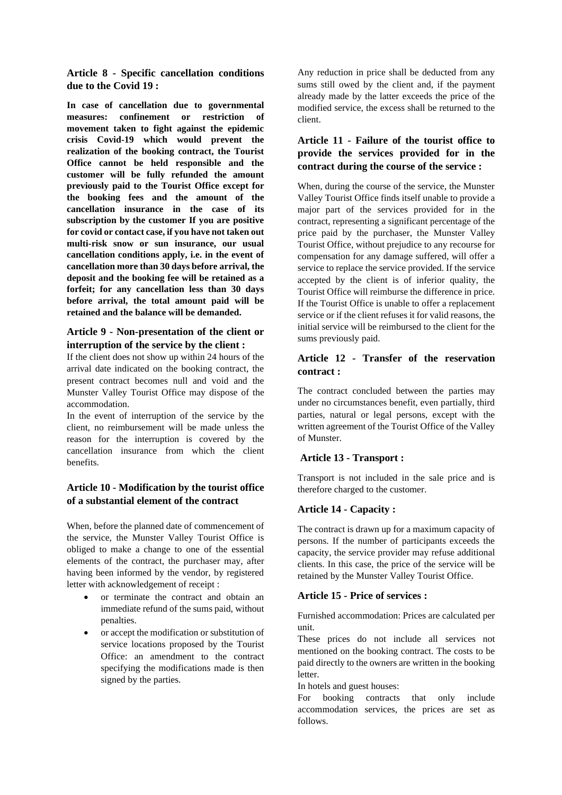**Article 8 - Specific cancellation conditions due to the Covid 19 :**

**In case of cancellation due to governmental measures: confinement or restriction of movement taken to fight against the epidemic crisis Covid-19 which would prevent the realization of the booking contract, the Tourist Office cannot be held responsible and the customer will be fully refunded the amount previously paid to the Tourist Office except for the booking fees and the amount of the cancellation insurance in the case of its subscription by the customer If you are positive for covid or contact case, if you have not taken out multi-risk snow or sun insurance, our usual cancellation conditions apply, i.e. in the event of cancellation more than 30 days before arrival, the deposit and the booking fee will be retained as a forfeit; for any cancellation less than 30 days before arrival, the total amount paid will be retained and the balance will be demanded.**

## **Article 9 - Non-presentation of the client or interruption of the service by the client :**

If the client does not show up within 24 hours of the arrival date indicated on the booking contract, the present contract becomes null and void and the Munster Valley Tourist Office may dispose of the accommodation.

In the event of interruption of the service by the client, no reimbursement will be made unless the reason for the interruption is covered by the cancellation insurance from which the client benefits.

## **Article 10 - Modification by the tourist office of a substantial element of the contract**

When, before the planned date of commencement of the service, the Munster Valley Tourist Office is obliged to make a change to one of the essential elements of the contract, the purchaser may, after having been informed by the vendor, by registered letter with acknowledgement of receipt :

- or terminate the contract and obtain an immediate refund of the sums paid, without penalties.
- or accept the modification or substitution of service locations proposed by the Tourist Office: an amendment to the contract specifying the modifications made is then signed by the parties.

Any reduction in price shall be deducted from any sums still owed by the client and, if the payment already made by the latter exceeds the price of the modified service, the excess shall be returned to the client.

# **Article 11 - Failure of the tourist office to provide the services provided for in the contract during the course of the service :**

When, during the course of the service, the Munster Valley Tourist Office finds itself unable to provide a major part of the services provided for in the contract, representing a significant percentage of the price paid by the purchaser, the Munster Valley Tourist Office, without prejudice to any recourse for compensation for any damage suffered, will offer a service to replace the service provided. If the service accepted by the client is of inferior quality, the Tourist Office will reimburse the difference in price. If the Tourist Office is unable to offer a replacement service or if the client refuses it for valid reasons, the initial service will be reimbursed to the client for the sums previously paid.

## **Article 12 - Transfer of the reservation contract :**

The contract concluded between the parties may under no circumstances benefit, even partially, third parties, natural or legal persons, except with the written agreement of the Tourist Office of the Valley of Munster.

## **Article 13 - Transport :**

Transport is not included in the sale price and is therefore charged to the customer.

## **Article 14 - Capacity :**

The contract is drawn up for a maximum capacity of persons. If the number of participants exceeds the capacity, the service provider may refuse additional clients. In this case, the price of the service will be retained by the Munster Valley Tourist Office.

## **Article 15 - Price of services :**

Furnished accommodation: Prices are calculated per unit.

These prices do not include all services not mentioned on the booking contract. The costs to be paid directly to the owners are written in the booking letter.

In hotels and guest houses:

For booking contracts that only include accommodation services, the prices are set as follows.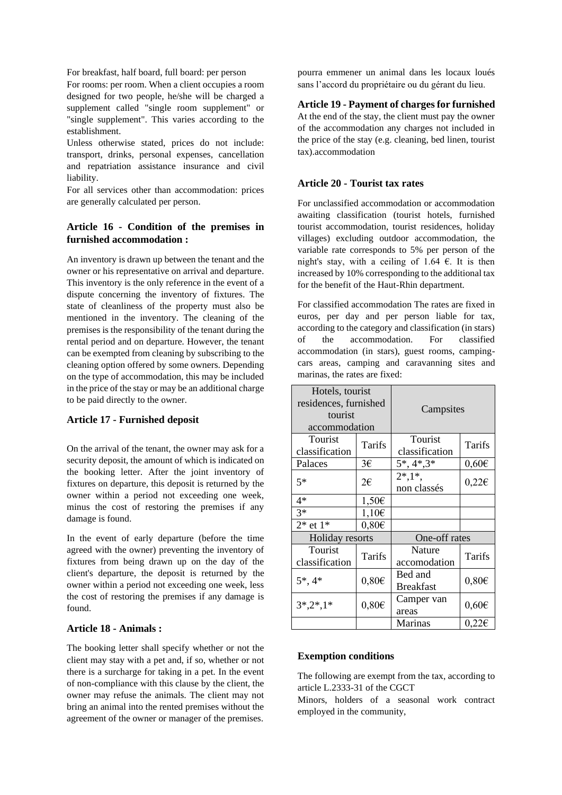For breakfast, half board, full board: per person

For rooms: per room. When a client occupies a room designed for two people, he/she will be charged a supplement called "single room supplement" or "single supplement". This varies according to the establishment.

Unless otherwise stated, prices do not include: transport, drinks, personal expenses, cancellation and repatriation assistance insurance and civil liability.

For all services other than accommodation: prices are generally calculated per person.

# **Article 16 - Condition of the premises in furnished accommodation :**

An inventory is drawn up between the tenant and the owner or his representative on arrival and departure. This inventory is the only reference in the event of a dispute concerning the inventory of fixtures. The state of cleanliness of the property must also be mentioned in the inventory. The cleaning of the premises is the responsibility of the tenant during the rental period and on departure. However, the tenant can be exempted from cleaning by subscribing to the cleaning option offered by some owners. Depending on the type of accommodation, this may be included in the price of the stay or may be an additional charge to be paid directly to the owner.

## **Article 17 - Furnished deposit**

On the arrival of the tenant, the owner may ask for a security deposit, the amount of which is indicated on the booking letter. After the joint inventory of fixtures on departure, this deposit is returned by the owner within a period not exceeding one week, minus the cost of restoring the premises if any damage is found.

In the event of early departure (before the time agreed with the owner) preventing the inventory of fixtures from being drawn up on the day of the client's departure, the deposit is returned by the owner within a period not exceeding one week, less the cost of restoring the premises if any damage is found.

### **Article 18 - Animals :**

The booking letter shall specify whether or not the client may stay with a pet and, if so, whether or not there is a surcharge for taking in a pet. In the event of non-compliance with this clause by the client, the owner may refuse the animals. The client may not bring an animal into the rented premises without the agreement of the owner or manager of the premises.

pourra emmener un animal dans les locaux loués sans l'accord du propriétaire ou du gérant du lieu.

### **Article 19 - Payment of charges for furnished**

At the end of the stay, the client must pay the owner of the accommodation any charges not included in the price of the stay (e.g. cleaning, bed linen, tourist tax).accommodation

### **Article 20 - Tourist tax rates**

For unclassified accommodation or accommodation awaiting classification (tourist hotels, furnished tourist accommodation, tourist residences, holiday villages) excluding outdoor accommodation, the variable rate corresponds to 5% per person of the night's stay, with a ceiling of 1.64  $\epsilon$ . It is then increased by 10% corresponding to the additional tax for the benefit of the Haut-Rhin department.

For classified accommodation The rates are fixed in euros, per day and per person liable for tax, according to the category and classification (in stars) of the accommodation. For classified accommodation (in stars), guest rooms, campingcars areas, camping and caravanning sites and marinas, the rates are fixed:

| Hotels, tourist<br>residences, furnished<br>tourist<br>accommodation |            | Campsites                      |            |
|----------------------------------------------------------------------|------------|--------------------------------|------------|
| Tourist<br>classification                                            | Tarifs     | Tourist<br>classification      | Tarifs     |
| Palaces                                                              | 3€         | $5^*, 4^*, 3^*$                | $0,60 \in$ |
| $5*$                                                                 | 2€         | $2^*$ , $1^*$ ,<br>non classés | $0,22 \in$ |
| 4*                                                                   | $1,50 \in$ |                                |            |
| $3*$                                                                 | $1,10 \in$ |                                |            |
| $2*$ et $1*$                                                         | $0,80 \in$ |                                |            |
| Holiday resorts                                                      |            | One-off rates                  |            |
| Tourist<br>classification                                            | Tarifs     | Nature<br>accomodation         | Tarifs     |
| $5^*$ , 4*                                                           | $0,80 \in$ | Bed and<br><b>Breakfast</b>    | $0,80 \in$ |
| $3^*,2^*,1^*$                                                        | $0,80 \in$ | Camper van<br>areas            | $0,60 \in$ |
|                                                                      |            | Marinas                        | $0,22 \in$ |

### **Exemption conditions**

The following are exempt from the tax, according to article L.2333-31 of the CGCT

Minors, holders of a seasonal work contract employed in the community,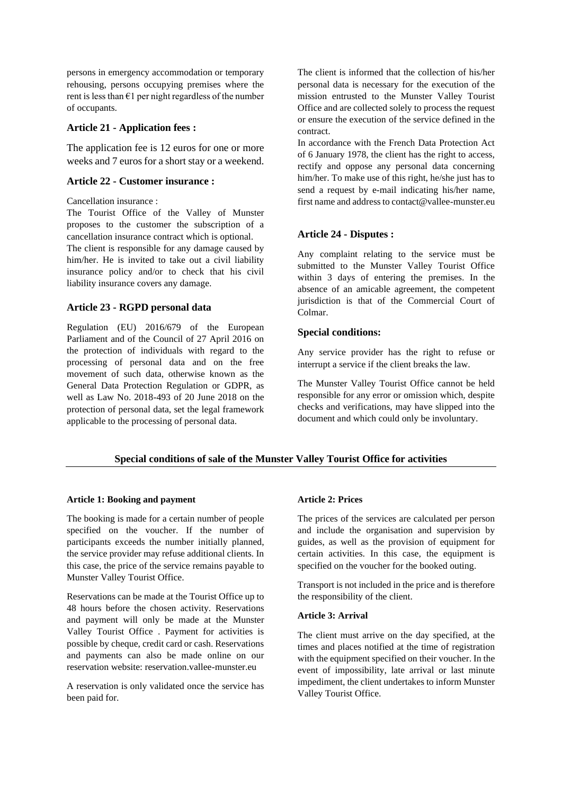persons in emergency accommodation or temporary rehousing, persons occupying premises where the rent is less than  $E1$  per night regardless of the number of occupants.

### **Article 21 - Application fees :**

The application fee is 12 euros for one or more weeks and 7 euros for a short stay or a weekend.

### **Article 22 - Customer insurance :**

Cancellation insurance :

The Tourist Office of the Valley of Munster proposes to the customer the subscription of a cancellation insurance contract which is optional.

The client is responsible for any damage caused by him/her. He is invited to take out a civil liability insurance policy and/or to check that his civil liability insurance covers any damage.

### **Article 23 - RGPD personal data**

Regulation (EU) 2016/679 of the European Parliament and of the Council of 27 April 2016 on the protection of individuals with regard to the processing of personal data and on the free movement of such data, otherwise known as the General Data Protection Regulation or GDPR, as well as Law No. 2018-493 of 20 June 2018 on the protection of personal data, set the legal framework applicable to the processing of personal data.

The client is informed that the collection of his/her personal data is necessary for the execution of the mission entrusted to the Munster Valley Tourist Office and are collected solely to process the request or ensure the execution of the service defined in the contract.

In accordance with the French Data Protection Act of 6 January 1978, the client has the right to access, rectify and oppose any personal data concerning him/her. To make use of this right, he/she just has to send a request by e-mail indicating his/her name, first name and address to contact@vallee-munster.eu

## **Article 24 - Disputes :**

Any complaint relating to the service must be submitted to the Munster Valley Tourist Office within 3 days of entering the premises. In the absence of an amicable agreement, the competent jurisdiction is that of the Commercial Court of Colmar.

### **Special conditions:**

Any service provider has the right to refuse or interrupt a service if the client breaks the law.

The Munster Valley Tourist Office cannot be held responsible for any error or omission which, despite checks and verifications, may have slipped into the document and which could only be involuntary.

## **Special conditions of sale of the Munster Valley Tourist Office for activities**

### **Article 1: Booking and payment**

The booking is made for a certain number of people specified on the voucher. If the number of participants exceeds the number initially planned, the service provider may refuse additional clients. In this case, the price of the service remains payable to Munster Valley Tourist Office.

Reservations can be made at the Tourist Office up to 48 hours before the chosen activity. Reservations and payment will only be made at the Munster Valley Tourist Office . Payment for activities is possible by cheque, credit card or cash. Reservations and payments can also be made online on our reservation website: reservation.vallee-munster.eu

A reservation is only validated once the service has been paid for.

### **Article 2: Prices**

The prices of the services are calculated per person and include the organisation and supervision by guides, as well as the provision of equipment for certain activities. In this case, the equipment is specified on the voucher for the booked outing.

Transport is not included in the price and is therefore the responsibility of the client.

### **Article 3: Arrival**

The client must arrive on the day specified, at the times and places notified at the time of registration with the equipment specified on their voucher. In the event of impossibility, late arrival or last minute impediment, the client undertakes to inform Munster Valley Tourist Office.